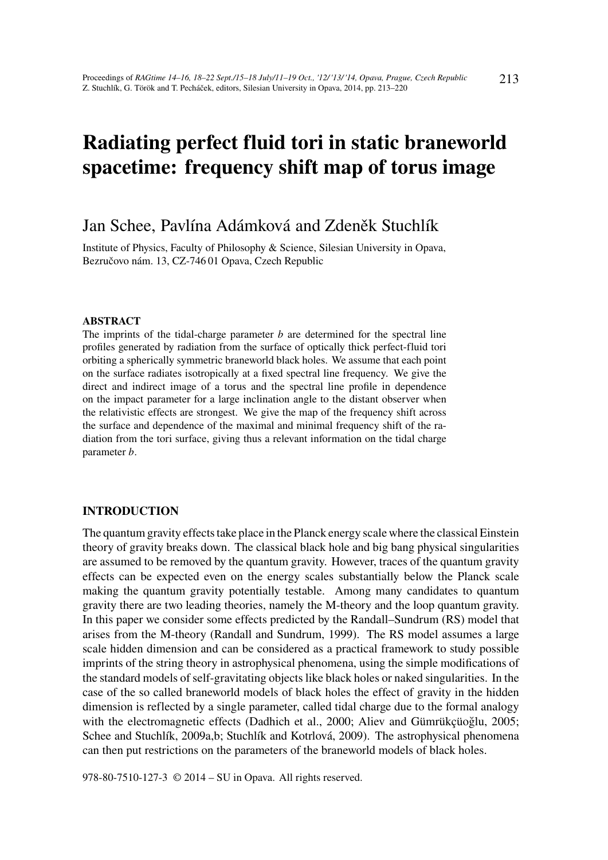# Radiating perfect fluid tori in static braneworld spacetime: frequency shift map of torus image

# Jan Schee, Pavlína Adámková and Zdeněk Stuchlík

Institute of Physics, Faculty of Philosophy & Science, Silesian University in Opava, Bezručovo nám. 13, CZ-746 01 Opava, Czech Republic

#### ABSTRACT

The imprints of the tidal-charge parameter *b* are determined for the spectral line profiles generated by radiation from the surface of optically thick perfect-fluid tori orbiting a spherically symmetric braneworld black holes. We assume that each point on the surface radiates isotropically at a fixed spectral line frequency. We give the direct and indirect image of a torus and the spectral line profile in dependence on the impact parameter for a large inclination angle to the distant observer when the relativistic effects are strongest. We give the map of the frequency shift across the surface and dependence of the maximal and minimal frequency shift of the radiation from the tori surface, giving thus a relevant information on the tidal charge parameter *b*.

# INTRODUCTION

The quantum gravity effects take place in the Planck energy scale where the classical Einstein theory of gravity breaks down. The classical black hole and big bang physical singularities are assumed to be removed by the quantum gravity. However, traces of the quantum gravity effects can be expected even on the energy scales substantially below the Planck scale making the quantum gravity potentially testable. Among many candidates to quantum gravity there are two leading theories, namely the M-theory and the loop quantum gravity. In this paper we consider some effects predicted by the Randall–Sundrum (RS) model that arises from the M-theory (Randall and Sundrum, 1999). The RS model assumes a large scale hidden dimension and can be considered as a practical framework to study possible imprints of the string theory in astrophysical phenomena, using the simple modifications of the standard models of self-gravitating objects like black holes or naked singularities. In the case of the so called braneworld models of black holes the effect of gravity in the hidden dimension is reflected by a single parameter, called tidal charge due to the formal analogy with the electromagnetic effects (Dadhich et al., 2000; Aliev and Gümrükçüoğlu, 2005; Schee and Stuchlík, 2009a,b; Stuchlík and Kotrlová, 2009). The astrophysical phenomena can then put restrictions on the parameters of the braneworld models of black holes.

978-80-7510-127-3 © 2014 – SU in Opava. All rights reserved.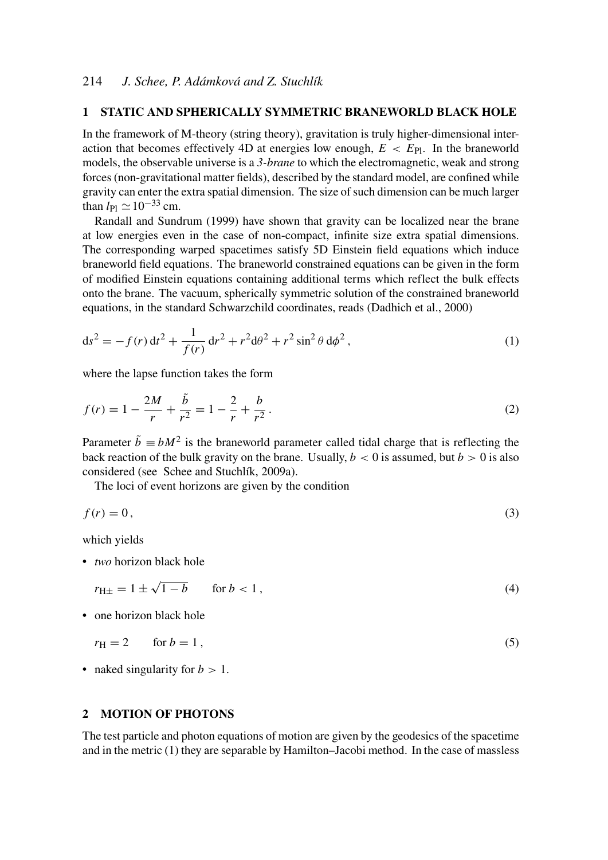### 1 STATIC AND SPHERICALLY SYMMETRIC BRANEWORLD BLACK HOLE

In the framework of M-theory (string theory), gravitation is truly higher-dimensional interaction that becomes effectively 4D at energies low enough,  $E \nleq E_{\text{Pl}}$ . In the braneworld models, the observable universe is a *3-brane* to which the electromagnetic, weak and strong forces (non-gravitational matter fields), described by the standard model, are confined while gravity can enter the extra spatial dimension. The size of such dimension can be much larger than  $l_{\text{Pl}} \simeq 10^{-33}$  cm.

Randall and Sundrum (1999) have shown that gravity can be localized near the brane at low energies even in the case of non-compact, infinite size extra spatial dimensions. The corresponding warped spacetimes satisfy 5D Einstein field equations which induce braneworld field equations. The braneworld constrained equations can be given in the form of modified Einstein equations containing additional terms which reflect the bulk effects onto the brane. The vacuum, spherically symmetric solution of the constrained braneworld equations, in the standard Schwarzchild coordinates, reads (Dadhich et al., 2000)

$$
ds^{2} = -f(r) dt^{2} + \frac{1}{f(r)} dr^{2} + r^{2} d\theta^{2} + r^{2} \sin^{2} \theta d\phi^{2},
$$
\n(1)

where the lapse function takes the form

$$
f(r) = 1 - \frac{2M}{r} + \frac{\tilde{b}}{r^2} = 1 - \frac{2}{r} + \frac{b}{r^2}.
$$
 (2)

Parameter  $\tilde{b} \equiv bM^2$  is the braneworld parameter called tidal charge that is reflecting the back reaction of the bulk gravity on the brane. Usually,  $b < 0$  is assumed, but  $b > 0$  is also considered (see Schee and Stuchlík, 2009a).

The loci of event horizons are given by the condition

$$
f(r) = 0,\t\t(3)
$$

which yields

• *two* horizon black hole

$$
r_{\text{H} \pm} = 1 \pm \sqrt{1 - b} \qquad \text{for } b < 1 \,, \tag{4}
$$

• one horizon black hole

$$
r_{\rm H} = 2 \qquad \text{for } b = 1 \,, \tag{5}
$$

• naked singularity for  $b > 1$ .

#### 2 MOTION OF PHOTONS

The test particle and photon equations of motion are given by the geodesics of the spacetime and in the metric (1) they are separable by Hamilton–Jacobi method. In the case of massless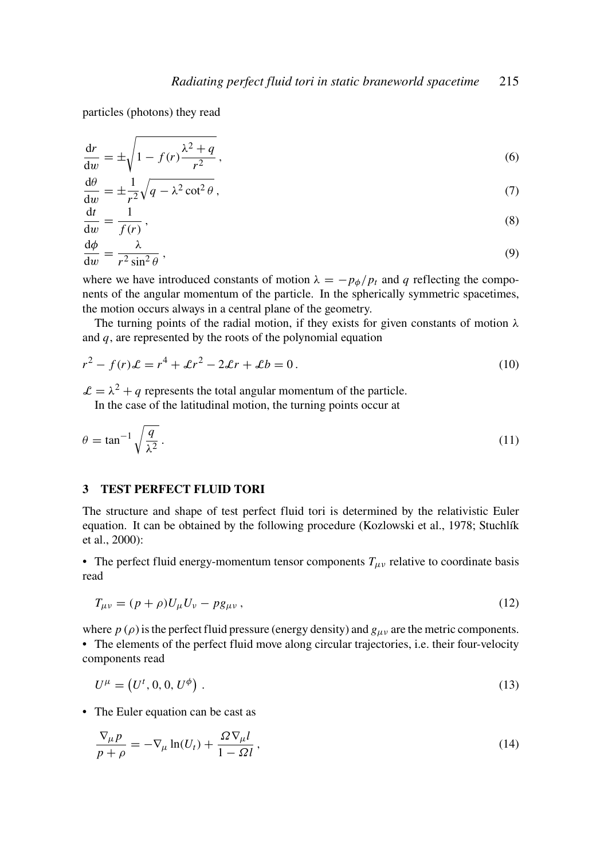particles (photons) they read

$$
\frac{dr}{dw} = \pm \sqrt{1 - f(r) \frac{\lambda^2 + q}{r^2}},\tag{6}
$$

$$
\frac{d\theta}{dw} = \pm \frac{1}{r^2} \sqrt{q - \lambda^2 \cot^2 \theta},\tag{7}
$$

$$
\frac{\mathrm{d}t}{\mathrm{d}w} = \frac{1}{f(r)},\tag{8}
$$

$$
\frac{\mathrm{d}\phi}{\mathrm{d}w} = \frac{\lambda}{r^2 \sin^2 \theta} \,,\tag{9}
$$

where we have introduced constants of motion  $\lambda = -p_{\phi}/p_t$  and *q* reflecting the components of the angular momentum of the particle. In the spherically symmetric spacetimes, the motion occurs always in a central plane of the geometry.

The turning points of the radial motion, if they exists for given constants of motion  $\lambda$ and *q*, are represented by the roots of the polynomial equation

$$
r^2 - f(r)\mathcal{L} = r^4 + \mathcal{L}r^2 - 2\mathcal{L}r + \mathcal{L}b = 0.
$$
 (10)

 $\mathcal{L} = \lambda^2 + q$  represents the total angular momentum of the particle.

In the case of the latitudinal motion, the turning points occur at

$$
\theta = \tan^{-1} \sqrt{\frac{q}{\lambda^2}}.
$$
\n(11)

### 3 TEST PERFECT FLUID TORI

The structure and shape of test perfect fluid tori is determined by the relativistic Euler equation. It can be obtained by the following procedure (Kozlowski et al., 1978; Stuchlík et al., 2000):

• The perfect fluid energy-momentum tensor components  $T_{\mu\nu}$  relative to coordinate basis read

$$
T_{\mu\nu} = (p+\rho)U_{\mu}U_{\nu} - pg_{\mu\nu},\qquad(12)
$$

where  $p(\rho)$  is the perfect fluid pressure (energy density) and  $g_{\mu\nu}$  are the metric components. • The elements of the perfect fluid move along circular trajectories, i.e. their four-velocity components read

$$
U^{\mu} = (U^t, 0, 0, U^{\phi}) \tag{13}
$$

• The Euler equation can be cast as

$$
\frac{\nabla_{\mu}p}{p+\rho} = -\nabla_{\mu}\ln(U_t) + \frac{\Omega\nabla_{\mu}l}{1-\Omega l},\qquad(14)
$$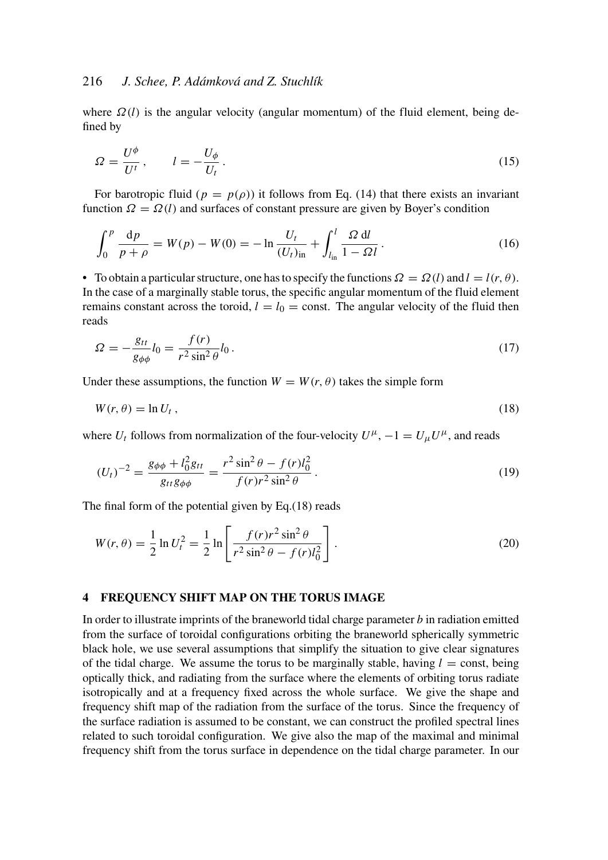# 216 *J. Schee, P. Adámková and Z. Stuchlík*

where  $\Omega(l)$  is the angular velocity (angular momentum) of the fluid element, being defined by

$$
\Omega = \frac{U^{\phi}}{U^{t}}, \qquad l = -\frac{U_{\phi}}{U_{t}}.
$$
\n(15)

For barotropic fluid ( $p = p(\rho)$ ) it follows from Eq. (14) that there exists an invariant function  $\Omega = \Omega(l)$  and surfaces of constant pressure are given by Boyer's condition

$$
\int_0^p \frac{\mathrm{d}p}{p+\rho} = W(p) - W(0) = -\ln \frac{U_t}{(U_t)_{\text{in}}} + \int_{l_{\text{in}}}^l \frac{\Omega \, \mathrm{d}l}{1 - \Omega l} \,. \tag{16}
$$

• To obtain a particular structure, one has to specify the functions  $\Omega = \Omega(l)$  and  $l = l(r, \theta)$ . In the case of a marginally stable torus, the specific angular momentum of the fluid element remains constant across the toroid,  $l = l_0 = \text{const.}$  The angular velocity of the fluid then reads

$$
\Omega = -\frac{g_{tt}}{g_{\phi\phi}}l_0 = \frac{f(r)}{r^2 \sin^2\theta}l_0.
$$
\n(17)

Under these assumptions, the function  $W = W(r, \theta)$  takes the simple form

$$
W(r,\theta) = \ln U_t, \qquad (18)
$$

where  $U_t$  follows from normalization of the four-velocity  $U^{\mu}$ ,  $-1 = U_{\mu}U^{\mu}$ , and reads

$$
(U_t)^{-2} = \frac{g_{\phi\phi} + l_0^2 g_{tt}}{g_{tt} g_{\phi\phi}} = \frac{r^2 \sin^2 \theta - f(r)l_0^2}{f(r)r^2 \sin^2 \theta}.
$$
\n(19)

The final form of the potential given by Eq.(18) reads

$$
W(r,\theta) = \frac{1}{2} \ln U_t^2 = \frac{1}{2} \ln \left[ \frac{f(r)r^2 \sin^2 \theta}{r^2 \sin^2 \theta - f(r)l_0^2} \right].
$$
 (20)

#### 4 FREQUENCY SHIFT MAP ON THE TORUS IMAGE

In order to illustrate imprints of the braneworld tidal charge parameter *b* in radiation emitted from the surface of toroidal configurations orbiting the braneworld spherically symmetric black hole, we use several assumptions that simplify the situation to give clear signatures of the tidal charge. We assume the torus to be marginally stable, having  $l = \text{const}$ , being optically thick, and radiating from the surface where the elements of orbiting torus radiate isotropically and at a frequency fixed across the whole surface. We give the shape and frequency shift map of the radiation from the surface of the torus. Since the frequency of the surface radiation is assumed to be constant, we can construct the profiled spectral lines related to such toroidal configuration. We give also the map of the maximal and minimal frequency shift from the torus surface in dependence on the tidal charge parameter. In our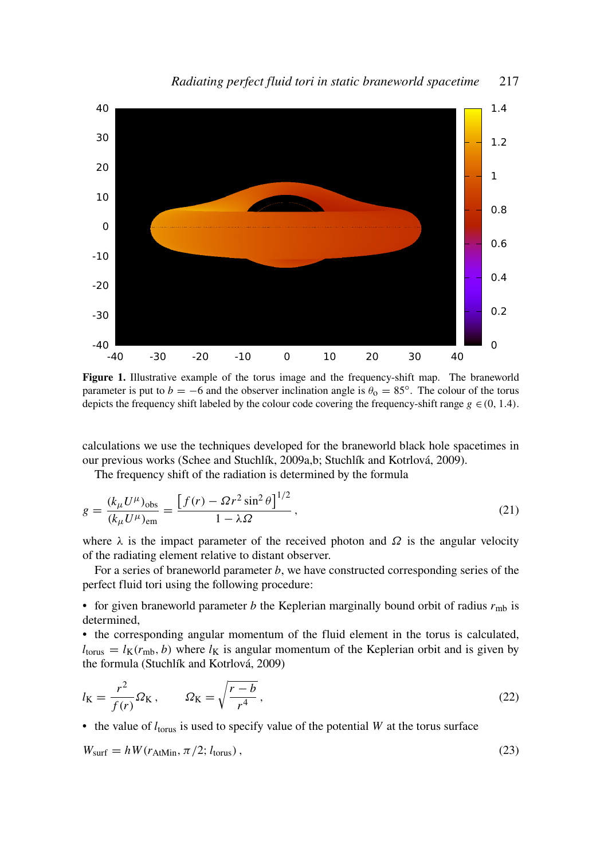

Figure 1. Illustrative example of the torus image and the frequency-shift map. The braneworld parameter is put to  $b = -6$  and the observer inclination angle is  $\theta_0 = 85^\circ$ . The colour of the torus depicts the frequency shift labeled by the colour code covering the frequency-shift range  $g \in (0, 1.4)$ .

calculations we use the techniques developed for the braneworld black hole spacetimes in our previous works (Schee and Stuchlík, 2009a,b; Stuchlík and Kotrlová, 2009).

The frequency shift of the radiation is determined by the formula

$$
g = \frac{(k_{\mu}U^{\mu})_{\text{obs}}}{(k_{\mu}U^{\mu})_{\text{em}}} = \frac{\left[f(r) - \Omega r^2 \sin^2 \theta\right]^{1/2}}{1 - \lambda \Omega},\tag{21}
$$

where  $\lambda$  is the impact parameter of the received photon and  $\Omega$  is the angular velocity of the radiating element relative to distant observer.

For a series of braneworld parameter *b*, we have constructed corresponding series of the perfect fluid tori using the following procedure:

• for given braneworld parameter *b* the Keplerian marginally bound orbit of radius *r*mb is determined,

• the corresponding angular momentum of the fluid element in the torus is calculated,  $l_{\text{torus}} = l_{\text{K}}(r_{\text{mb}}, b)$  where  $l_{\text{K}}$  is angular momentum of the Keplerian orbit and is given by the formula (Stuchlík and Kotrlová, 2009)

$$
l_{\mathcal{K}} = \frac{r^2}{f(r)} \Omega_{\mathcal{K}}, \qquad \Omega_{\mathcal{K}} = \sqrt{\frac{r-b}{r^4}}, \qquad (22)
$$

• the value of  $l_{torus}$  is used to specify value of the potential  $W$  at the torus surface

$$
W_{\text{surf}} = hW(r_{\text{AtMin}}, \pi/2; l_{\text{torus}}),
$$
\n(23)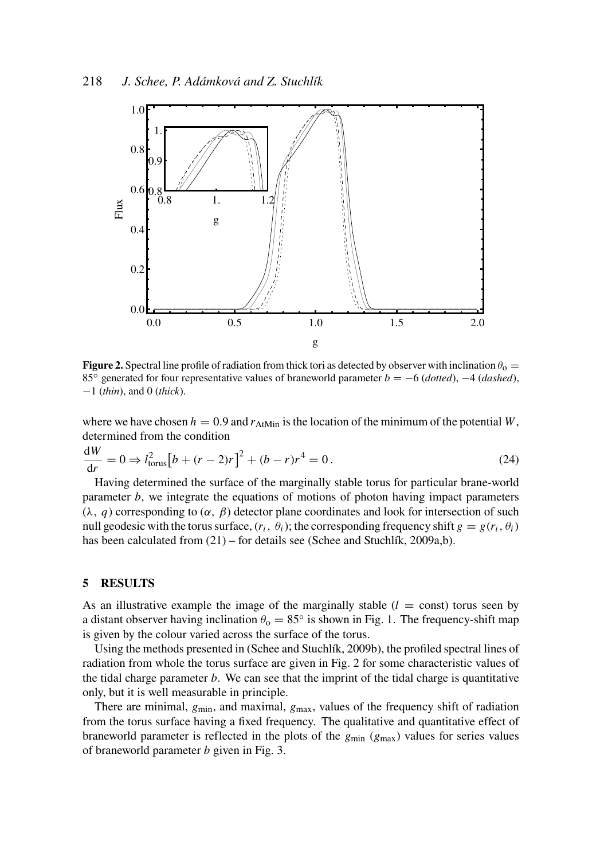

**Figure 2.** Spectral line profile of radiation from thick tori as detected by observer with inclination  $\theta_0 =$ 85◦ generated for four representative values of braneworld parameter *b* = −6 (*dotted*), −4 (*dashed*), −1 (*thin*), and 0 (*thick*).

where we have chosen  $h = 0.9$  and  $r_{AtMin}$  is the location of the minimum of the potential *W*, determined from the condition

$$
\frac{dW}{dr} = 0 \Rightarrow l_{\text{torus}}^2 \left[ b + (r - 2)r \right]^2 + (b - r)r^4 = 0. \tag{24}
$$

Having determined the surface of the marginally stable torus for particular brane-world parameter *b*, we integrate the equations of motions of photon having impact parameters (λ, *q*) corresponding to (α, β) detector plane coordinates and look for intersection of such null geodesic with the torus surface,  $(r_i, \theta_i)$ ; the corresponding frequency shift  $g = g(r_i, \theta_i)$ has been calculated from  $(21)$  – for details see (Schee and Stuchlík, 2009a,b).

#### 5 RESULTS

As an illustrative example the image of the marginally stable  $(l = \text{const})$  torus seen by a distant observer having inclination  $\theta_0 = 85^\circ$  is shown in Fig. 1. The frequency-shift map is given by the colour varied across the surface of the torus.

Using the methods presented in (Schee and Stuchlík, 2009b), the profiled spectral lines of radiation from whole the torus surface are given in Fig. 2 for some characteristic values of the tidal charge parameter *b*. We can see that the imprint of the tidal charge is quantitative only, but it is well measurable in principle.

There are minimal,  $g_{min}$ , and maximal,  $g_{max}$ , values of the frequency shift of radiation from the torus surface having a fixed frequency. The qualitative and quantitative effect of braneworld parameter is reflected in the plots of the *g*min (*g*max) values for series values of braneworld parameter *b* given in Fig. 3.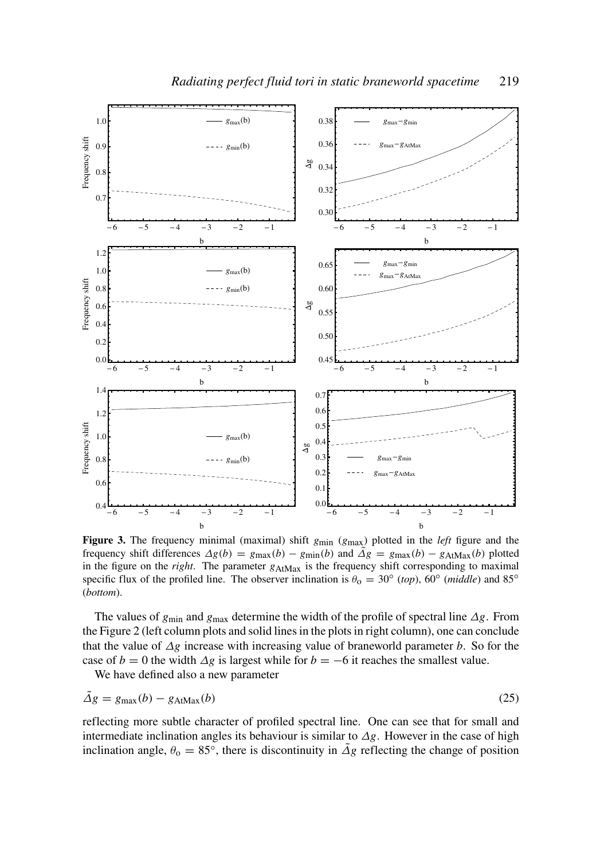

Figure 3. The frequency minimal (maximal) shift  $g_{min}$  ( $g_{max}$ ) plotted in the *left* figure and the frequency shift differences  $\Delta g(b) = g_{\text{max}}(b) - g_{\text{min}}(b)$  and  $\Delta g = g_{\text{max}}(b) - g_{\text{AtMax}}(b)$  plotted in the figure on the *right*. The parameter  $g_{\text{AtMax}}$  is the frequency shift corresponding to maximal specific flux of the profiled line. The observer inclination is  $\theta_0 = 30^\circ$  (*top*), 60<sup>°</sup> (*middle*) and 85<sup>°</sup> (*bottom*).

The values of *g*min and *g*max determine the width of the profile of spectral line ∆*g*. From the Figure 2 (left column plots and solid lines in the plots in right column), one can conclude that the value of ∆*g* increase with increasing value of braneworld parameter *b*. So for the case of *b* = 0 the width  $\Delta g$  is largest while for *b* = −6 it reaches the smallest value.

We have defined also a new parameter

$$
\tilde{\Delta}g = g_{\text{max}}(b) - g_{\text{AtMax}}(b) \tag{25}
$$

reflecting more subtle character of profiled spectral line. One can see that for small and intermediate inclination angles its behaviour is similar to ∆*g*. However in the case of high inclination angle,  $\theta_0 = 85^\circ$ , there is discontinuity in  $\tilde{\Delta}g$  reflecting the change of position